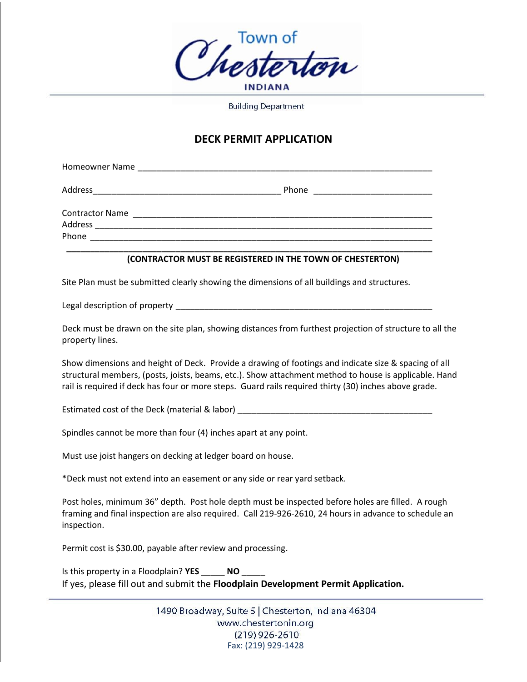

**Building Department** 

## **DECK PERMIT APPLICATION**

| Homeowner Name                                                                                                                  |                                                                                                                       |
|---------------------------------------------------------------------------------------------------------------------------------|-----------------------------------------------------------------------------------------------------------------------|
| Address<br><u> 1980 - Jan Barnett, mars andrew Maria Barnett, mars andrew Maria Barnett, mars andrew Maria Barnett, mars an</u> | Phone                                                                                                                 |
| <b>Contractor Name</b><br>Address                                                                                               | <u> 1980 - Jan Bernard Bernard, management av den større og større og større og større og større og større og stø</u> |
| Phone                                                                                                                           |                                                                                                                       |

## **\_\_\_\_\_\_\_\_\_\_\_\_\_\_\_\_\_\_\_\_\_\_\_\_\_\_\_\_\_\_\_\_\_\_\_\_\_\_\_\_\_\_\_\_\_\_\_\_\_\_\_\_\_\_\_\_\_\_\_\_\_\_\_\_\_\_\_\_\_\_\_\_\_\_\_\_\_ (CONTRACTOR MUST BE REGISTERED IN THE TOWN OF CHESTERTON)**

Site Plan must be submitted clearly showing the dimensions of all buildings and structures.

Legal description of property \_\_\_\_\_\_\_\_\_\_\_\_\_\_\_\_\_\_\_\_\_\_\_\_\_\_\_\_\_\_\_\_\_\_\_\_\_\_\_\_\_\_\_\_\_\_\_\_\_\_\_\_\_\_

Deck must be drawn on the site plan, showing distances from furthest projection of structure to all the property lines.

Show dimensions and height of Deck. Provide a drawing of footings and indicate size & spacing of all structural members, (posts, joists, beams, etc.). Show attachment method to house is applicable. Hand rail is required if deck has four or more steps. Guard rails required thirty (30) inches above grade.

Estimated cost of the Deck (material & labor) **Example 2018** 

Spindles cannot be more than four (4) inches apart at any point.

Must use joist hangers on decking at ledger board on house.

\*Deck must not extend into an easement or any side or rear yard setback.

Post holes, minimum 36" depth. Post hole depth must be inspected before holes are filled. A rough framing and final inspection are also required. Call 219-926-2610, 24 hours in advance to schedule an inspection.

Permit cost is \$30.00, payable after review and processing.

Is this property in a Floodplain? **YES** \_\_\_\_\_ **NO** \_\_\_\_\_ If yes, please fill out and submit the **Floodplain Development Permit Application.** 

> 1490 Broadway, Suite 5 | Chesterton, Indiana 46304 www.chestertonin.org  $(219)$  926-2610 Fax: (219) 929-1428